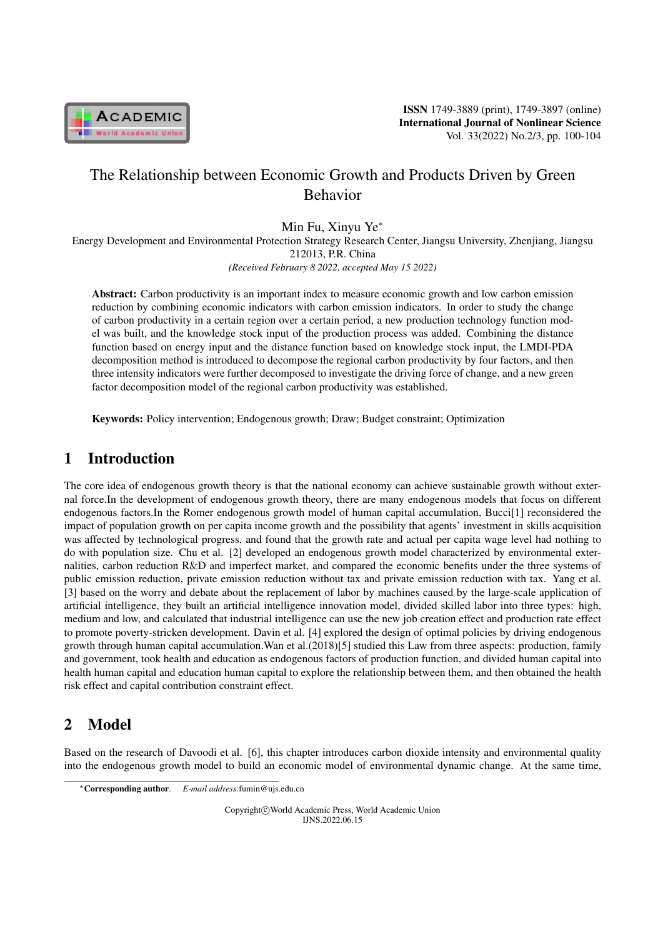

# The Relationship between Economic Growth and Products Driven by Green Behavior

Min Fu, Xinyu Ye*<sup>∗</sup>*

Energy Development and Environmental Protection Strategy Research Center, Jiangsu University, Zhenjiang, Jiangsu 212013, P.R. China

*(Received February 8 2022, accepted May 15 2022)*

Abstract: Carbon productivity is an important index to measure economic growth and low carbon emission reduction by combining economic indicators with carbon emission indicators. In order to study the change of carbon productivity in a certain region over a certain period, a new production technology function model was built, and the knowledge stock input of the production process was added. Combining the distance function based on energy input and the distance function based on knowledge stock input, the LMDI-PDA decomposition method is introduced to decompose the regional carbon productivity by four factors, and then three intensity indicators were further decomposed to investigate the driving force of change, and a new green factor decomposition model of the regional carbon productivity was established.

Keywords: Policy intervention; Endogenous growth; Draw; Budget constraint; Optimization

### 1 Introduction

The core idea of endogenous growth theory is that the national economy can achieve sustainable growth without external force.In the development of endogenous growth theory, there are many endogenous models that focus on different endogenous factors.In the Romer endogenous growth model of human capital accumulation, Bucci[1] reconsidered the impact of population growth on per capita income growth and the possibility that agents' investment in skills acquisition was affected by technological progress, and found that the growth rate and actual per capita wage level had nothing to do with population size. Chu et al. [2] developed an endogenous growth model characterized by environmental externalities, carbon reduction R&D and imperfect market, and compared the economic benefits under the three systems of public emission reduction, private emission reduction without tax and private emission reduction with tax. Yang et al. [3] based on the worry and debate about the replacement of labor by machines caused by the large-scale application of artificial intelligence, they built an artificial intelligence innovation model, divided skilled labor into three types: high, medium and low, and calculated that industrial intelligence can use the new job creation effect and production rate effect to promote poverty-stricken development. Davin et al. [4] explored the design of optimal policies by driving endogenous growth through human capital accumulation.Wan et al.(2018)[5] studied this Law from three aspects: production, family and government, took health and education as endogenous factors of production function, and divided human capital into health human capital and education human capital to explore the relationship between them, and then obtained the health risk effect and capital contribution constraint effect.

# 2 Model

Based on the research of Davoodi et al. [6], this chapter introduces carbon dioxide intensity and environmental quality into the endogenous growth model to build an economic model of environmental dynamic change. At the same time,

Copyright*⃝*c World Academic Press, World Academic Union IJNS.2022.06.15

*<sup>∗</sup>*Corresponding author. *E-mail address*:fumin@ujs.edu.cn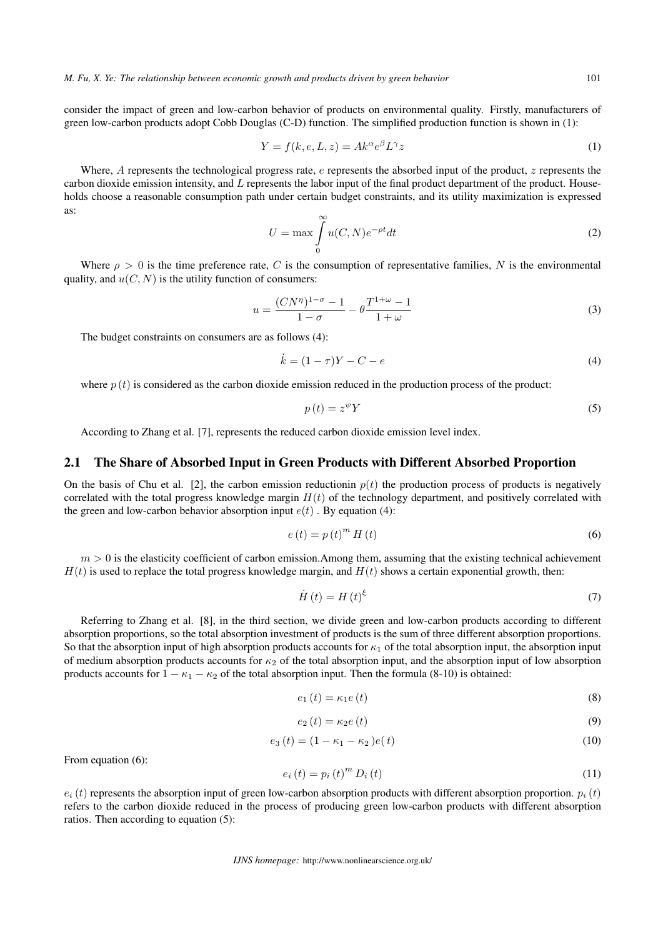*M. Fu, X. Ye: The relationship between economic growth and products driven by green behavior* 101

consider the impact of green and low-carbon behavior of products on environmental quality. Firstly, manufacturers of green low-carbon products adopt Cobb Douglas (C-D) function. The simplified production function is shown in (1):

$$
Y = f(k, e, L, z) = Ak^{\alpha} e^{\beta} L^{\gamma} z \tag{1}
$$

Where, *A* represents the technological progress rate, *e* represents the absorbed input of the product, *z* represents the carbon dioxide emission intensity, and *L* represents the labor input of the final product department of the product. Households choose a reasonable consumption path under certain budget constraints, and its utility maximization is expressed as:

$$
U = \max_{0} \int_{0}^{\infty} u(C, N)e^{-\rho t}dt
$$
 (2)

Where  $\rho > 0$  is the time preference rate, *C* is the consumption of representative families, *N* is the environmental quality, and  $u(C, N)$  is the utility function of consumers:

$$
u = \frac{(CN^{\eta})^{1-\sigma} - 1}{1-\sigma} - \theta \frac{T^{1+\omega} - 1}{1+\omega}
$$
 (3)

The budget constraints on consumers are as follows (4):

$$
\dot{k} = (1 - \tau)Y - C - e \tag{4}
$$

where  $p(t)$  is considered as the carbon dioxide emission reduced in the production process of the product:

$$
p(t) = z^{\psi} Y \tag{5}
$$

According to Zhang et al. [7], represents the reduced carbon dioxide emission level index.

#### 2.1 The Share of Absorbed Input in Green Products with Different Absorbed Proportion

On the basis of Chu et al. [2], the carbon emission reductionin  $p(t)$  the production process of products is negatively correlated with the total progress knowledge margin  $H(t)$  of the technology department, and positively correlated with the green and low-carbon behavior absorption input  $e(t)$ . By equation (4):

$$
e(t) = p(t)^{m} H(t)
$$
\n(6)

 $m > 0$  is the elasticity coefficient of carbon emission. Among them, assuming that the existing technical achievement  $H(t)$  is used to replace the total progress knowledge margin, and  $H(t)$  shows a certain exponential growth, then:

$$
\dot{H}(t) = H(t)^{\xi} \tag{7}
$$

Referring to Zhang et al. [8], in the third section, we divide green and low-carbon products according to different absorption proportions, so the total absorption investment of products is the sum of three different absorption proportions. So that the absorption input of high absorption products accounts for *κ*<sup>1</sup> of the total absorption input, the absorption input of medium absorption products accounts for *κ*<sup>2</sup> of the total absorption input, and the absorption input of low absorption products accounts for  $1 - \kappa_1 - \kappa_2$  of the total absorption input. Then the formula (8-10) is obtained:

$$
e_1(t) = \kappa_1 e(t) \tag{8}
$$

$$
e_2(t) = \kappa_2 e(t) \tag{9}
$$

$$
e_3(t) = (1 - \kappa_1 - \kappa_2)e(t)
$$
 (10)

From equation (6):

$$
e_i(t) = p_i(t)^m D_i(t)
$$
\n(11)

 $e_i(t)$  represents the absorption input of green low-carbon absorption products with different absorption proportion.  $p_i(t)$ refers to the carbon dioxide reduced in the process of producing green low-carbon products with different absorption ratios. Then according to equation (5):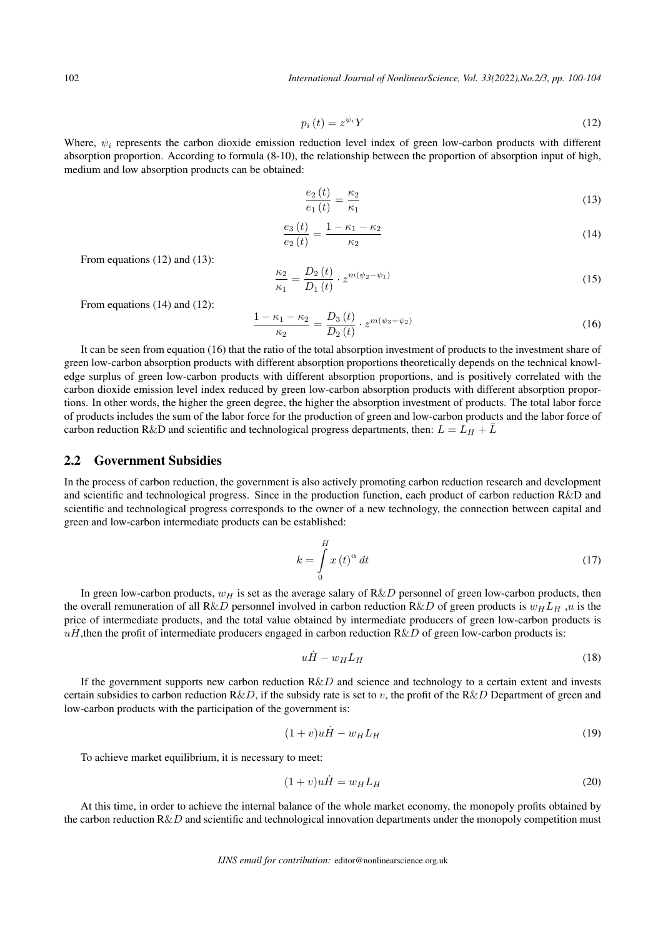$$
p_i(t) = z^{\psi_i} Y \tag{12}
$$

Where, *ψ<sup>i</sup>* represents the carbon dioxide emission reduction level index of green low-carbon products with different absorption proportion. According to formula (8-10), the relationship between the proportion of absorption input of high, medium and low absorption products can be obtained:

$$
\frac{e_2(t)}{e_1(t)} = \frac{\kappa_2}{\kappa_1} \tag{13}
$$

$$
\frac{e_3(t)}{e_2(t)} = \frac{1 - \kappa_1 - \kappa_2}{\kappa_2} \tag{14}
$$

From equations (12) and (13):

$$
\frac{\kappa_2}{\kappa_1} = \frac{D_2(t)}{D_1(t)} \cdot z^{m(\psi_2 - \psi_1)}\tag{15}
$$

From equations (14) and (12):

$$
\frac{1 - \kappa_1 - \kappa_2}{\kappa_2} = \frac{D_3(t)}{D_2(t)} \cdot z^{m(\psi_3 - \psi_2)}\tag{16}
$$

It can be seen from equation (16) that the ratio of the total absorption investment of products to the investment share of green low-carbon absorption products with different absorption proportions theoretically depends on the technical knowledge surplus of green low-carbon products with different absorption proportions, and is positively correlated with the carbon dioxide emission level index reduced by green low-carbon absorption products with different absorption proportions. In other words, the higher the green degree, the higher the absorption investment of products. The total labor force of products includes the sum of the labor force for the production of green and low-carbon products and the labor force of carbon reduction R&D and scientific and technological progress departments, then:  $L = L_H + L$ 

#### 2.2 Government Subsidies

In the process of carbon reduction, the government is also actively promoting carbon reduction research and development and scientific and technological progress. Since in the production function, each product of carbon reduction R&D and scientific and technological progress corresponds to the owner of a new technology, the connection between capital and green and low-carbon intermediate products can be established:

*H*

$$
k = \int_{0}^{R} x(t)^{\alpha} dt
$$
 (17)

In green low-carbon products,  $w_H$  is set as the average salary of  $R\&D$  personnel of green low-carbon products, then the overall remuneration of all R&*D* personnel involved in carbon reduction R&*D* of green products is  $w_H L_H$ , u is the price of intermediate products, and the total value obtained by intermediate producers of green low-carbon products is  $\vec{u}$  *uH*, then the profit of intermediate producers engaged in carbon reduction R&*D* of green low-carbon products is:

$$
u\dot{H} - w_H L_H \tag{18}
$$

If the government supports new carbon reduction R&*D* and science and technology to a certain extent and invests certain subsidies to carbon reduction  $R\&D$ , if the subsidy rate is set to *v*, the profit of the  $R\&D$  Department of green and low-carbon products with the participation of the government is:

$$
(1+v)u\dot{H} - w_H L_H \tag{19}
$$

To achieve market equilibrium, it is necessary to meet:

$$
(1+v)u\dot{H} = w_H L_H \tag{20}
$$

At this time, in order to achieve the internal balance of the whole market economy, the monopoly profits obtained by the carbon reduction R&*D* and scientific and technological innovation departments under the monopoly competition must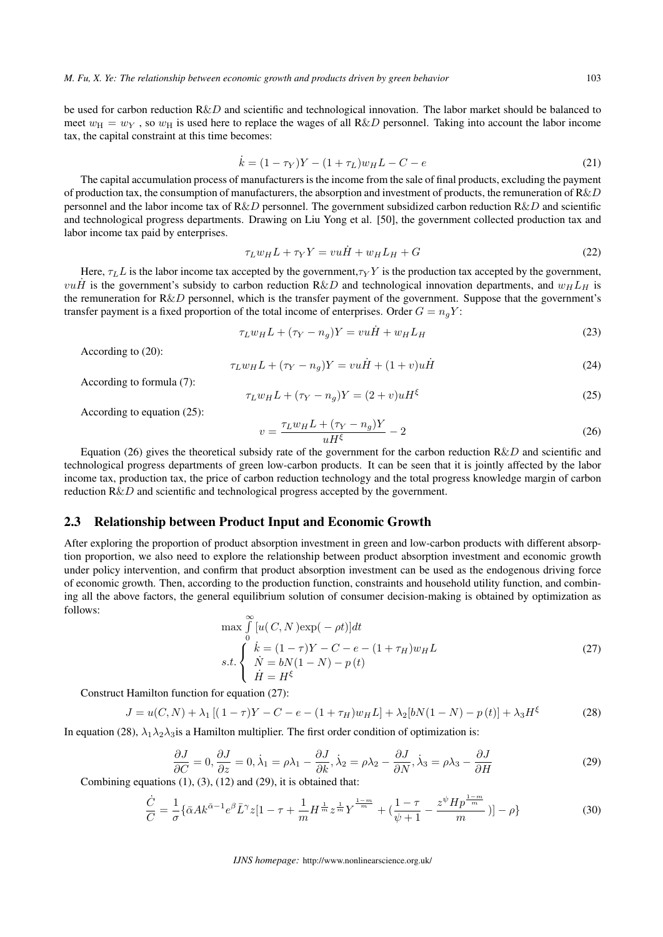be used for carbon reduction R&*D* and scientific and technological innovation. The labor market should be balanced to meet  $w_H = w_Y$ , so  $w_H$  is used here to replace the wages of all R&*D* personnel. Taking into account the labor income tax, the capital constraint at this time becomes:

$$
\dot{k} = (1 - \tau_Y)Y - (1 + \tau_L)w_H L - C - e \tag{21}
$$

The capital accumulation process of manufacturers is the income from the sale of final products, excluding the payment of production tax, the consumption of manufacturers, the absorption and investment of products, the remuneration of R&*D* personnel and the labor income tax of R&*D* personnel. The government subsidized carbon reduction R&*D* and scientific and technological progress departments. Drawing on Liu Yong et al. [50], the government collected production tax and labor income tax paid by enterprises.

$$
\tau_L w_H L + \tau_Y Y = v u \dot{H} + w_H L_H + G \tag{22}
$$

Here,  $\tau_L L$  is the labor income tax accepted by the government,  $\tau_Y Y$  is the production tax accepted by the government, *vuH* is the government's subsidy to carbon reduction R&*D* and technological innovation departments, and  $w_H L_H$  is the remuneration for R&*D* personnel, which is the transfer payment of the government. Suppose that the government's transfer payment is a fixed proportion of the total income of enterprises. Order  $G = n_q Y$ :

$$
\tau_L w_H L + (\tau_Y - n_g) Y = v u \dot{H} + w_H L_H \tag{23}
$$

According to (20):

$$
\tau_L w_H L + (\tau_Y - n_g) Y = v u \dot{H} + (1 + v) u \dot{H}
$$
\n
$$
(24)
$$

According to formula (7):

$$
\tau_L w_H L + (\tau_Y - n_g) Y = (2 + v) u H^{\xi}
$$
\n
$$
(25)
$$

According to equation (25):

$$
v = \frac{\tau_L w_H L + (\tau_Y - n_g)Y}{uH^{\xi}} - 2
$$
\n
$$
(26)
$$

Equation (26) gives the theoretical subsidy rate of the government for the carbon reduction R&*D* and scientific and technological progress departments of green low-carbon products. It can be seen that it is jointly affected by the labor income tax, production tax, the price of carbon reduction technology and the total progress knowledge margin of carbon reduction R&*D* and scientific and technological progress accepted by the government.

#### 2.3 Relationship between Product Input and Economic Growth

After exploring the proportion of product absorption investment in green and low-carbon products with different absorption proportion, we also need to explore the relationship between product absorption investment and economic growth under policy intervention, and confirm that product absorption investment can be used as the endogenous driving force of economic growth. Then, according to the production function, constraints and household utility function, and combining all the above factors, the general equilibrium solution of consumer decision-making is obtained by optimization as follows:

$$
\max \limits_{\substack{0\\0\\s.t.\end{bmatrix}} \begin{cases} [u(C,N)\exp(-\rho t)]dt\\ \dot{k} = (1-\tau)Y - C - e - (1+\tau_H)w_HL\\ \dot{N} = bN(1-N) - p(t) \end{cases}
$$
\n(27)

Construct Hamilton function for equation (27):

$$
J = u(C, N) + \lambda_1 \left[ (1 - \tau)Y - C - e - (1 + \tau_H)w_H L \right] + \lambda_2 \left[ bN(1 - N) - p(t) \right] + \lambda_3 H^{\xi}
$$
(28)

In equation (28),  $\lambda_1 \lambda_2 \lambda_3$  is a Hamilton multiplier. The first order condition of optimization is:

$$
\frac{\partial J}{\partial C} = 0, \frac{\partial J}{\partial z} = 0, \dot{\lambda}_1 = \rho \lambda_1 - \frac{\partial J}{\partial k}, \dot{\lambda}_2 = \rho \lambda_2 - \frac{\partial J}{\partial N}, \dot{\lambda}_3 = \rho \lambda_3 - \frac{\partial J}{\partial H}
$$
(29)

Combining equations  $(1)$ ,  $(3)$ ,  $(12)$  and  $(29)$ , it is obtained that:

$$
\frac{\dot{C}}{C} = \frac{1}{\sigma} \{ \bar{\alpha} A k^{\bar{\alpha}-1} e^{\beta} \bar{L}^{\gamma} z [1 - \tau + \frac{1}{m} H^{\frac{1}{m}} z^{\frac{1}{m}} Y^{\frac{1-m}{m}} + (\frac{1-\tau}{\psi+1} - \frac{z^{\psi} H p^{\frac{1-m}{m}}}{m}) ] - \rho \}
$$
(30)